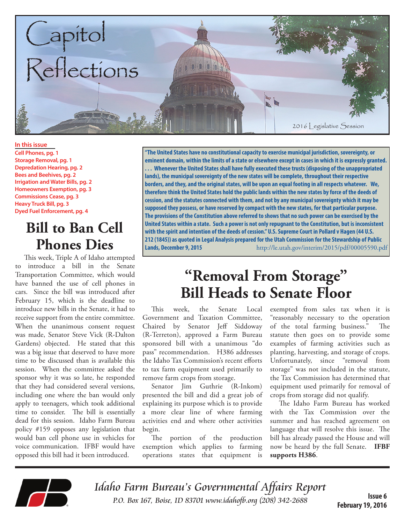

**In this issue Cell Phones, pg. 1 Storage Removal, pg. 1 Depredation Hearing, pg. 2 Bees and Beehives, pg. 2 Irrigation and Water Bills, pg. 2 Homeowners Exemption, pg. 3 Commissions Cease, pg. 3 Heavy Truck Bill, pg. 3 Dyed Fuel Enforcement, pg. 4**

## **Bill to Ban Cell Phones Dies**

This week, Triple A of Idaho attempted introduce a bill in the Senate Transportation Committee, which would have banned the use of cell phones in cars. Since the bill was introduced after February 15, which is the deadline to introduce new bills in the Senate, it had to receive support from the entire committee. When the unanimous consent request was made, Senator Steve Vick (R-Dalton Gardens) objected. He stated that this was a big issue that deserved to have more time to be discussed than is available this session. When the committee asked the sponsor why it was so late, he responded that they had considered several versions, including one where the ban would only apply to teenagers, which took additional time to consider. The bill is essentially dead for this session. Idaho Farm Bureau policy #159 opposes any legislation that would ban cell phone use in vehicles for voice communication. IFBF would have opposed this bill had it been introduced.

**"The United States have no constitutional capacity to exercise municipal jurisdiction, sovereignty, or eminent domain, within the limits of a state or elsewhere except in cases in which it is expressly granted. . . . Whenever the United States shall have fully executed these trusts (disposing of the unappropriated lands), the municipal sovereignty of the new states will be complete, throughout their respective borders, and they, and the original states, will be upon an equal footing in all respects whatever. We, therefore think the United States hold the public lands within the new states by force of the deeds of cession, and the statutes connected with them, and not by any municipal sovereignty which it may be supposed they possess, or have reserved by compact with the new states, for that particular purpose. The provisions of the Constitution above referred to shows that no such power can be exercised by the United States within a state. Such a power is not only repugnant to the Constitution, but is inconsistent with the spirit and intention of the deeds of cession." U.S. Supreme Court in Pollard v Hagen (44 U.S. 212 (1845)) as quoted in Legal Analysis prepared for the Utah Commission for the Stewardship of Public Lands, December 9, 2015** http://le.utah.gov/interim/2015/pdf/00005590.pdf

## **"Removal From Storage" Bill Heads to Senate Floor**

This week, the Senate Local Government and Taxation Committee, Chaired by Senator Jeff Siddoway (R-Terreton), approved a Farm Bureau sponsored bill with a unanimous "do pass" recommendation. H386 addresses the Idaho Tax Commission's recent efforts to tax farm equipment used primarily to remove farm crops from storage.

Senator Jim Guthrie (R-Inkom) presented the bill and did a great job of explaining its purpose which is to provide a more clear line of where farming activities end and where other activities begin.

The portion of the production exemption which applies to farming operations states that equipment is

exempted from sales tax when it is "reasonably necessary to the operation of the total farming business." statute then goes on to provide some examples of farming activities such as planting, harvesting, and storage of crops. Unfortunately, since "removal from storage" was not included in the statute, the Tax Commission has determined that equipment used primarily for removal of crops from storage did not qualify.

The Idaho Farm Bureau has worked with the Tax Commission over the summer and has reached agreement on language that will resolve this issue. The bill has already passed the House and will now be heard by the full Senate. **IFBF supports H386**.



Idaho Farm Bureau's Governmental Affairs Report P.O. Box 167, Boise, ID 83701 www.idahofb.org (208) 342-2688

**Issue 6 February 19, 2016**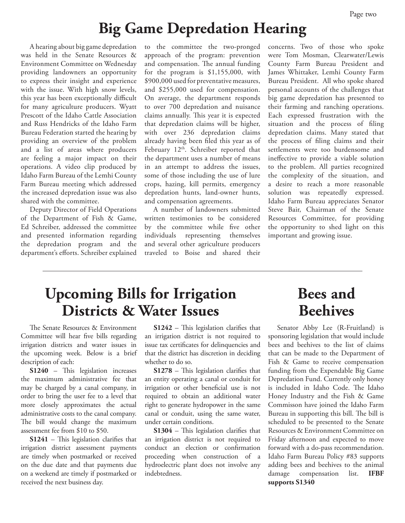## **Big Game Depredation Hearing**

A hearing about big game depredation was held in the Senate Resources & Environment Committee on Wednesday providing landowners an opportunity to express their insight and experience with the issue. With high snow levels, this year has been exceptionally difficult for many agriculture producers. Wyatt Prescott of the Idaho Cattle Association and Russ Hendricks of the Idaho Farm Bureau Federation started the hearing by providing an overview of the problem and a list of areas where producers are feeling a major impact on their operations. A video clip produced by Idaho Farm Bureau of the Lemhi County Farm Bureau meeting which addressed the increased depredation issue was also shared with the committee.

Deputy Director of Field Operations of the Department of Fish & Game, Ed Schreiber, addressed the committee and presented information regarding the depredation program and the department's efforts. Schreiber explained

to the committee the two-pronged approach of the program: prevention and compensation. The annual funding for the program is \$1,155,000, with \$900,000 used for preventative measures, and \$255,000 used for compensation. On average, the department responds to over 700 depredation and nuisance claims annually. This year it is expected that depredation claims will be higher, with over 236 depredation claims already having been filed this year as of February 12<sup>th</sup>. Schreiber reported that the department uses a number of means in an attempt to address the issues, some of those including the use of lure crops, hazing, kill permits, emergency depredation hunts, land-owner hunts, and compensation agreements.

A number of landowners submitted written testimonies to be considered by the committee while five other individuals representing themselves and several other agriculture producers traveled to Boise and shared their

concerns. Two of those who spoke were Tom Mosman, Clearwater/Lewis County Farm Bureau President and James Whittaker, Lemhi County Farm Bureau President. All who spoke shared personal accounts of the challenges that big game depredation has presented to their farming and ranching operations. Each expressed frustration with the situation and the process of filing depredation claims. Many stated that the process of filing claims and their settlements were too burdensome and ineffective to provide a viable solution to the problem. All parties recognized the complexity of the situation, and a desire to reach a more reasonable solution was repeatedly expressed. Idaho Farm Bureau appreciates Senator Steve Bair, Chairman of the Senate Resources Committee, for providing the opportunity to shed light on this important and growing issue.

## **Upcoming Bills for Irrigation Districts & Water Issues**

The Senate Resources & Environment Committee will hear five bills regarding irrigation districts and water issues in the upcoming week. Below is a brief description of each:

**S1240** – This legislation increases the maximum administrative fee that may be charged by a canal company, in order to bring the user fee to a level that more closely approximates the actual administrative costs to the canal company. The bill would change the maximum assessment fee from \$10 to \$50.

**S1241** – This legislation clarifies that irrigation district assessment payments are timely when postmarked or received on the due date and that payments due on a weekend are timely if postmarked or received the next business day.

**S1242** – This legislation clarifies that an irrigation district is not required to issue tax certificates for delinquencies and that the district has discretion in deciding whether to do so.

**S1278** – This legislation clarifies that an entity operating a canal or conduit for irrigation or other beneficial use is not required to obtain an additional water right to generate hydropower in the same canal or conduit, using the same water, under certain conditions.

**S1304** – This legislation clarifies that an irrigation district is not required to conduct an election or confirmation proceeding when construction of a hydroelectric plant does not involve any indebtedness.

## **Bees and Beehives**

Senator Abby Lee (R-Fruitland) is sponsoring legislation that would include bees and beehives to the list of claims that can be made to the Department of Fish & Game to receive compensation funding from the Expendable Big Game Depredation Fund. Currently only honey is included in Idaho Code. The Idaho Honey Industry and the Fish & Game Commisson have joined the Idaho Farm Bureau in supporting this bill. The bill is scheduled to be presented to the Senate Resources & Environment Committee on Friday afternoon and expected to move forward with a do-pass recommendation. Idaho Farm Bureau Policy #83 supports adding bees and beehives to the animal damage compensation list. **IFBF supports S1340**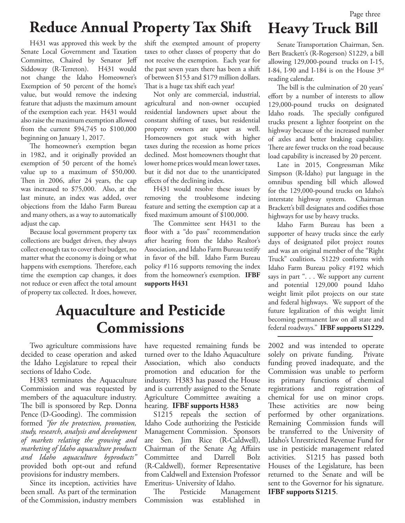# **Reduce Annual Property Tax Shift**

H431 was approved this week by the Senate Local Government and Taxation Committee, Chaired by Senator Jeff Siddoway (R-Terreton). H431 would not change the Idaho Homeowner's Exemption of 50 percent of the home's value, but would remove the indexing feature that adjusts the maximum amount of the exemption each year. H431 would also raise the maximum exemption allowed from the current \$94,745 to \$100,000 beginning on January 1, 2017.

The homeowner's exemption began in 1982, and it originally provided an exemption of 50 percent of the home's value up to a maximum of \$50,000. Then in 2006, after 24 years, the cap was increased to \$75,000. Also, at the last minute, an index was added, over objections from the Idaho Farm Bureau and many others, as a way to automatically adjust the cap.

Because local government property tax collections are budget driven, they always collect enough tax to cover their budget, no matter what the economy is doing or what happens with exemptions. Therefore, each time the exemption cap changes, it does not reduce or even affect the total amount of property tax collected. It does, however, shift the exempted amount of property taxes to other classes of property that do not receive the exemption. Each year for the past seven years there has been a shift of between \$153 and \$179 million dollars. That is a huge tax shift each year!

Not only are commercial, industrial, agricultural and non-owner occupied residential landowners upset about the constant shifting of taxes, but residential property owners are upset as well. Homeowners got stuck with higher taxes during the recession as home prices declined. Most homeowners thought that lower home prices would mean lower taxes, but it did not due to the unanticipated effects of the declining index.

H431 would resolve these issues by removing the troublesome indexing feature and setting the exemption cap at a fixed maximum amount of \$100,000.

The Committee sent H431 to the floor with a "do pass" recommendation after hearing from the Idaho Realtor's Association, and Idaho Farm Bureau testify in favor of the bill. Idaho Farm Bureau policy #116 supports removing the index from the homeowner's exemption. **IFBF supports H431**

## **Aquaculture and Pesticide Commissions**

Two agriculture commissions have decided to cease operation and asked the Idaho Legislature to repeal their sections of Idaho Code.

H383 terminates the Aquaculture Commission and was requested by members of the aquaculture industry. The bill is sponsored by Rep. Donna Pence (D-Gooding). The commission formed *"for the protection, promotion, study, research, analysis and development of markets relating the growing and marketing of Idaho aquaculture products and Idaho aquaculture byproducts"*  provided both opt-out and refund provisions for industry members.

Since its inception, activities have been small. As part of the termination of the Commission, industry members

have requested remaining funds be turned over to the Idaho Aquaculture Association, which also conducts promotion and education for the industry. H383 has passed the House and is currently assigned to the Senate Agriculture Committee awaiting a hearing. **IFBF supports H383**

S1215 repeals the section of Idaho Code authorizing the Pesticide Management Commission. Sponsors are Sen. Jim Rice (R-Caldwell), Chairman of the Senate Ag Affairs Committee and Darrell Bolz (R-Caldwell), former Representative from Caldwell and Extension Professor Emeritus- University of Idaho.

The Pesticide Management Commission was established in

Senate Transportation Chairman, Sen. Bert Brackett's (R-Rogerson) S1229, a bill allowing 129,000-pound trucks on I-15, I-84, I-90 and I-184 is on the House  $3<sup>rd</sup>$ reading calendar.

**Heavy Truck Bill**

The bill is the culmination of 20 years' effort by a number of interests to allow 129,000-pound trucks on designated Idaho roads. The specially configured trucks present a lighter footprint on the highway because of the increased number of axles and better braking capability. There are fewer trucks on the road because load capability is increased by 20 percent.

Late in 2015, Congressman Mike Simpson (R-Idaho) put language in the omnibus spending bill which allowed for the 129,000-pound trucks on Idaho's interstate highway system. Chairman Brackett's bill designates and codifies those highways for use by heavy trucks.

Idaho Farm Bureau has been a supporter of heavy trucks since the early days of designated pilot project routes and was an original member of the "Right Truck" coalition**.** S1229 conforms with Idaho Farm Bureau policy #192 which says in part ". . . We support any current and potential 129,000 pound Idaho weight limit pilot projects on our state and federal highways. We support of the future legalization of this weight limit becoming permanent law on all state and federal roadways." **IFBF supports S1229.**

2002 and was intended to operate solely on private funding. Private funding proved inadequate, and the Commission was unable to perform its primary functions of chemical registrations and registration of chemical for use on minor crops. These activities are now being performed by other organizations. Remaining Commission funds will be transferred to the University of Idaho's Unrestricted Revenue Fund for use in pesticide management related activities. S1215 has passed both Houses of the Legislature, has been returned to the Senate and will be sent to the Governor for his signature. **IFBF supports S1215**.